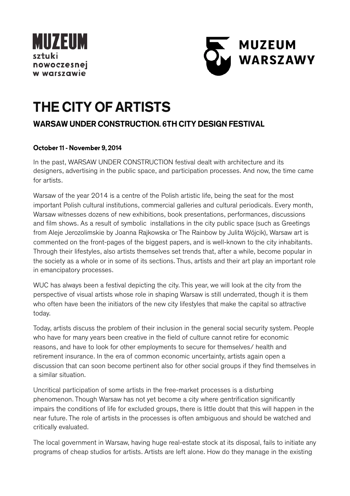



# **THE CITY OF ARTISTS**

## **WARSAW UNDER CONSTRUCTION. 6TH CITY DESIGN FESTIVAL**

### **October 11 - November 9, 2014**

In the past, WARSAW UNDER CONSTRUCTION festival dealt with architecture and its designers, advertising in the public space, and participation processes. And now, the time came for artists.

Warsaw of the year 2014 is a centre of the Polish artistic life, being the seat for the most important Polish cultural institutions, commercial galleries and cultural periodicals. Every month, Warsaw witnesses dozens of new exhibitions, book presentations, performances, discussions and film shows. As a result of symbolic installations in the city public space (such as Greetings from Aleje Jerozolimskie by Joanna Rajkowska or The Rainbow by Julita Wójcik), Warsaw art is commented on the front-pages of the biggest papers, and is well-known to the city inhabitants. Through their lifestyles, also artists themselves set trends that, after a while, become popular in the society as a whole or in some of its sections. Thus, artists and their art play an important role in emancipatory processes.

WUC has always been a festival depicting the city. This year, we will look at the city from the perspective of visual artists whose role in shaping Warsaw is still underrated, though it is them who often have been the initiators of the new city lifestyles that make the capital so attractive today.

Today, artists discuss the problem of their inclusion in the general social security system. People who have for many years been creative in the field of culture cannot retire for economic reasons, and have to look for other employments to secure for themselves/ health and retirement insurance. In the era of common economic uncertainty, artists again open a discussion that can soon become pertinent also for other social groups if they find themselves in a similar situation.

Uncritical participation of some artists in the free-market processes is a disturbing phenomenon. Though Warsaw has not yet become a city where gentrification significantly impairs the conditions of life for excluded groups, there is little doubt that this will happen in the near future. The role of artists in the processes is often ambiguous and should be watched and critically evaluated.

The local government in Warsaw, having huge real-estate stock at its disposal, fails to initiate any programs of cheap studios for artists. Artists are left alone. How do they manage in the existing